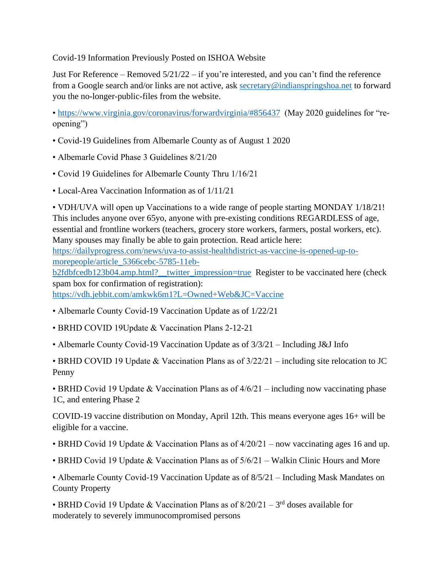## Covid-19 Information Previously Posted on ISHOA Website

Just For Reference – Removed  $5/21/22$  – if you're interested, and you can't find the reference from a Google search and/or links are not active, ask [secretary@indianspringshoa.net](mailto:secretary@indianspringshoa.net) to forward you the no-longer-public-files from the website.

•<https://www.virginia.gov/coronavirus/forwardvirginia/#856437> (May 2020 guidelines for "reopening")

- Covid-19 Guidelines from Albemarle County as of August 1 2020
- Albemarle Covid Phase 3 Guidelines 8/21/20
- Covid 19 Guidelines for Albemarle County Thru 1/16/21
- Local-Area Vaccination Information as of 1/11/21

• VDH/UVA will open up Vaccinations to a wide range of people starting MONDAY 1/18/21! This includes anyone over 65yo, anyone with pre-existing conditions REGARDLESS of age, essential and frontline workers (teachers, grocery store workers, farmers, postal workers, etc). Many spouses may finally be able to gain protection. Read article here: [https://dailyprogress.com/news/uva-to-assist-healthdistrict-as-vaccine-is-opened-up-to](https://dailyprogress.com/news/uva-to-assist-healthdistrict-as-vaccine-is-opened-up-to-morepeople/article_5366cebc-5785-11eb-b2fdbfcedb123b04.amp.html?__twitter_impression=true)[morepeople/article\\_5366cebc-5785-11eb](https://dailyprogress.com/news/uva-to-assist-healthdistrict-as-vaccine-is-opened-up-to-morepeople/article_5366cebc-5785-11eb-b2fdbfcedb123b04.amp.html?__twitter_impression=true)[b2fdbfcedb123b04.amp.html?\\_\\_twitter\\_impression=true](https://dailyprogress.com/news/uva-to-assist-healthdistrict-as-vaccine-is-opened-up-to-morepeople/article_5366cebc-5785-11eb-b2fdbfcedb123b04.amp.html?__twitter_impression=true) Register to be vaccinated here (check spam box for confirmation of registration): <https://vdh.jebbit.com/amkwk6m1?L=Owned+Web&JC=Vaccine>

- Albemarle County Covid-19 Vaccination Update as of 1/22/21
- BRHD COVID 19Update & Vaccination Plans 2-12-21
- Albemarle County Covid-19 Vaccination Update as of 3/3/21 Including J&J Info

• BRHD COVID 19 Update & Vaccination Plans as of 3/22/21 – including site relocation to JC Penny

• BRHD Covid 19 Update & Vaccination Plans as of  $4/6/21$  – including now vaccinating phase 1C, and entering Phase 2

COVID-19 vaccine distribution on Monday, April 12th. This means everyone ages 16+ will be eligible for a vaccine.

- BRHD Covid 19 Update & Vaccination Plans as of 4/20/21 now vaccinating ages 16 and up.
- BRHD Covid 19 Update & Vaccination Plans as of  $5/6/21$  Walkin Clinic Hours and More

• Albemarle County Covid-19 Vaccination Update as of 8/5/21 – Including Mask Mandates on County Property

• BRHD Covid 19 Update & Vaccination Plans as of  $8/20/21 - 3<sup>rd</sup>$  doses available for moderately to severely immunocompromised persons